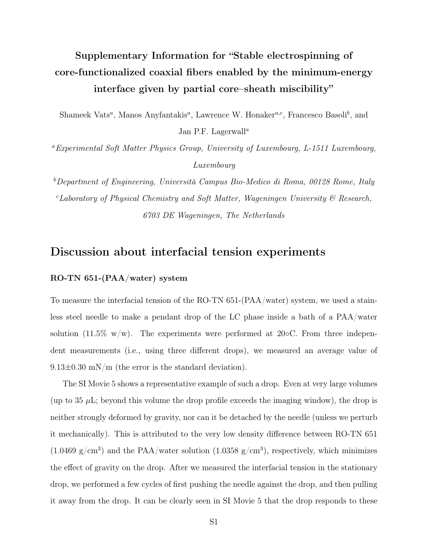# Supplementary Information for "Stable electrospinning of core-functionalized coaxial fibers enabled by the minimum-energy interface given by partial core–sheath miscibility"

Shameek Vats*<sup>a</sup>*, Manos Anyfantakis*<sup>a</sup>*, Lawrence W. Honaker*a,c*, Francesco Basoli*<sup>b</sup>* , and Jan P.F. Lagerwall*<sup>a</sup>*

*<sup>a</sup>Experimental Soft Matter Physics Group, University of Luxembourg, L-1511 Luxembourg, Luxembourg*

*b Department of Engineering, Università Campus Bio-Medico di Roma, 00128 Rome, Italy c Laboratory of Physical Chemistry and Soft Matter, Wageningen University & Research, 6703 DE Wageningen, The Netherlands*

### Discussion about interfacial tension experiments

#### RO-TN 651-(PAA/water) system

To measure the interfacial tension of the RO-TN 651-(PAA/water) system, we used a stainless steel needle to make a pendant drop of the LC phase inside a bath of a PAA/water solution (11.5% w/w). The experiments were performed at 20 $\circ$ C. From three independent measurements (i.e., using three different drops), we measured an average value of 9.13*±*0.30 mN/m (the error is the standard deviation).

The SI Movie 5 shows a representative example of such a drop. Even at very large volumes (up to 35  $\mu$ L; beyond this volume the drop profile exceeds the imaging window), the drop is neither strongly deformed by gravity, nor can it be detached by the needle (unless we perturb it mechanically). This is attributed to the very low density difference between RO-TN 651  $(1.0469 \text{ g/cm}^3)$  and the PAA/water solution  $(1.0358 \text{ g/cm}^3)$ , respectively, which minimizes the effect of gravity on the drop. After we measured the interfacial tension in the stationary drop, we performed a few cycles of first pushing the needle against the drop, and then pulling it away from the drop. It can be clearly seen in SI Movie 5 that the drop responds to these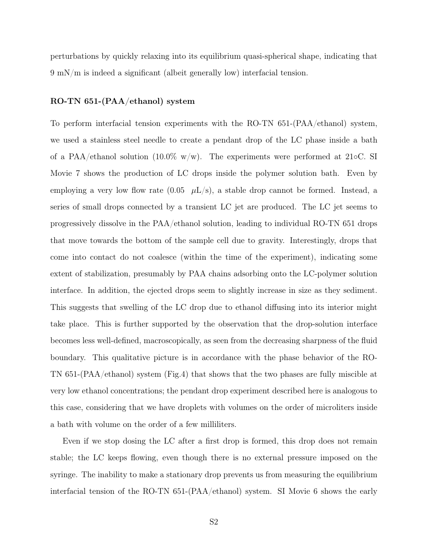perturbations by quickly relaxing into its equilibrium quasi-spherical shape, indicating that 9 mN/m is indeed a significant (albeit generally low) interfacial tension.

#### RO-TN 651-(PAA/ethanol) system

To perform interfacial tension experiments with the RO-TN 651-(PAA/ethanol) system, we used a stainless steel needle to create a pendant drop of the LC phase inside a bath of a PAA/ethanol solution (10.0% w/w). The experiments were performed at 21 $\circ$ C. SI Movie 7 shows the production of LC drops inside the polymer solution bath. Even by employing a very low flow rate  $(0.05 \mu L/s)$ , a stable drop cannot be formed. Instead, a series of small drops connected by a transient LC jet are produced. The LC jet seems to progressively dissolve in the PAA/ethanol solution, leading to individual RO-TN 651 drops that move towards the bottom of the sample cell due to gravity. Interestingly, drops that come into contact do not coalesce (within the time of the experiment), indicating some extent of stabilization, presumably by PAA chains adsorbing onto the LC-polymer solution interface. In addition, the ejected drops seem to slightly increase in size as they sediment. This suggests that swelling of the LC drop due to ethanol diffusing into its interior might take place. This is further supported by the observation that the drop-solution interface becomes less well-defined, macroscopically, as seen from the decreasing sharpness of the fluid boundary. This qualitative picture is in accordance with the phase behavior of the RO-TN 651-(PAA/ethanol) system (Fig.4) that shows that the two phases are fully miscible at very low ethanol concentrations; the pendant drop experiment described here is analogous to this case, considering that we have droplets with volumes on the order of microliters inside a bath with volume on the order of a few milliliters.

Even if we stop dosing the LC after a first drop is formed, this drop does not remain stable; the LC keeps flowing, even though there is no external pressure imposed on the syringe. The inability to make a stationary drop prevents us from measuring the equilibrium interfacial tension of the RO-TN 651-(PAA/ethanol) system. SI Movie 6 shows the early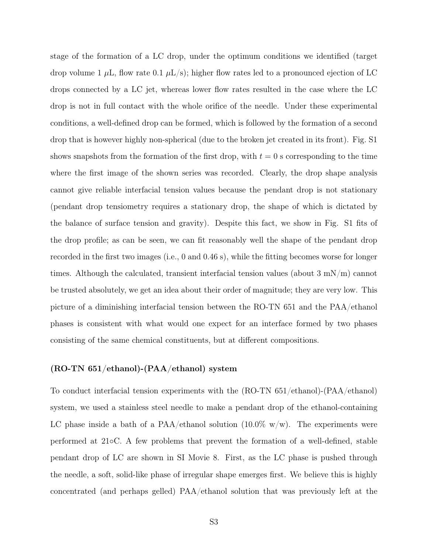stage of the formation of a LC drop, under the optimum conditions we identified (target drop volume 1  $\mu$ L, flow rate 0.1  $\mu$ L/s); higher flow rates led to a pronounced ejection of LC drops connected by a LC jet, whereas lower flow rates resulted in the case where the LC drop is not in full contact with the whole orifice of the needle. Under these experimental conditions, a well-defined drop can be formed, which is followed by the formation of a second drop that is however highly non-spherical (due to the broken jet created in its front). Fig. S1 shows snapshots from the formation of the first drop, with  $t = 0$  s corresponding to the time where the first image of the shown series was recorded. Clearly, the drop shape analysis cannot give reliable interfacial tension values because the pendant drop is not stationary (pendant drop tensiometry requires a stationary drop, the shape of which is dictated by the balance of surface tension and gravity). Despite this fact, we show in Fig. S1 fits of the drop profile; as can be seen, we can fit reasonably well the shape of the pendant drop recorded in the first two images (i.e., 0 and 0.46 s), while the fitting becomes worse for longer times. Although the calculated, transient interfacial tension values (about  $3 \text{ mN/m}$ ) cannot be trusted absolutely, we get an idea about their order of magnitude; they are very low. This picture of a diminishing interfacial tension between the RO-TN 651 and the PAA/ethanol phases is consistent with what would one expect for an interface formed by two phases consisting of the same chemical constituents, but at different compositions.

#### (RO-TN 651/ethanol)-(PAA/ethanol) system

To conduct interfacial tension experiments with the (RO-TN 651/ethanol)-(PAA/ethanol) system, we used a stainless steel needle to make a pendant drop of the ethanol-containing LC phase inside a bath of a PAA/ethanol solution  $(10.0\% \text{ w/w})$ . The experiments were performed at 21C. A few problems that prevent the formation of a well-defined, stable pendant drop of LC are shown in SI Movie 8. First, as the LC phase is pushed through the needle, a soft, solid-like phase of irregular shape emerges first. We believe this is highly concentrated (and perhaps gelled) PAA/ethanol solution that was previously left at the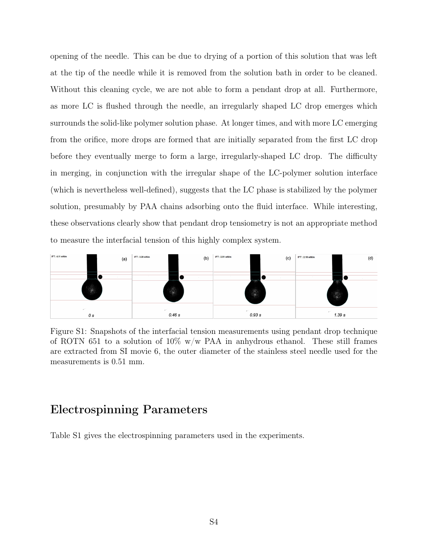opening of the needle. This can be due to drying of a portion of this solution that was left at the tip of the needle while it is removed from the solution bath in order to be cleaned. Without this cleaning cycle, we are not able to form a pendant drop at all. Furthermore, as more LC is flushed through the needle, an irregularly shaped LC drop emerges which surrounds the solid-like polymer solution phase. At longer times, and with more LC emerging from the orifice, more drops are formed that are initially separated from the first LC drop before they eventually merge to form a large, irregularly-shaped LC drop. The difficulty in merging, in conjunction with the irregular shape of the LC-polymer solution interface (which is nevertheless well-defined), suggests that the LC phase is stabilized by the polymer solution, presumably by PAA chains adsorbing onto the fluid interface. While interesting, these observations clearly show that pendant drop tensiometry is not an appropriate method to measure the interfacial tension of this highly complex system.



Figure S1: Snapshots of the interfacial tension measurements using pendant drop technique of ROTN 651 to a solution of  $10\%$  w/w PAA in anhydrous ethanol. These still frames are extracted from SI movie 6, the outer diameter of the stainless steel needle used for the measurements is 0.51 mm.

# Electrospinning Parameters

Table S1 gives the electrospinning parameters used in the experiments.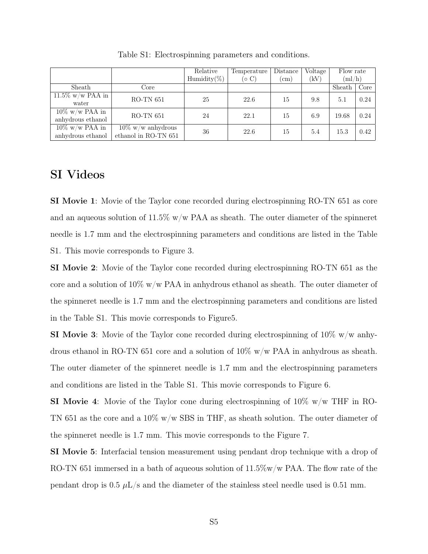|                     |                                              | Relative         | Temperature | Distance   | Voltage | Flow rate<br>(ml/h) |      |
|---------------------|----------------------------------------------|------------------|-------------|------------|---------|---------------------|------|
|                     |                                              | Humidity( $\%$ ) | (0 C)       | $\rm (cm)$ | (kV)    |                     |      |
| Sheath              | Core                                         |                  |             |            |         | Sheath              | Core |
| $11.5\%$ w/w PAA in | $RO-TN$ 651                                  | 25               | 22.6        | 15         | 9.8     | 5.1                 | 0.24 |
| water               |                                              |                  |             |            |         |                     |      |
| $10\%$ w/w PAA in   | $RO-TN$ 651                                  | 24               | 22.1        | 15         | 6.9     | 19.68               | 0.24 |
| anhydrous ethanol   |                                              |                  |             |            |         |                     |      |
| $10\%$ w/w PAA in   | $10\%$ w/w anhydrous<br>ethanol in RO-TN 651 | 36               | 22.6        | 15         | 5.4     | 15.3                | 0.42 |
| anhydrous ethanol   |                                              |                  |             |            |         |                     |      |

Table S1: Electrospinning parameters and conditions.

## SI Videos

SI Movie 1: Movie of the Taylor cone recorded during electrospinning RO-TN 651 as core and an aqueous solution of  $11.5\%$  w/w PAA as sheath. The outer diameter of the spinneret needle is 1.7 mm and the electrospinning parameters and conditions are listed in the Table S1. This movie corresponds to Figure 3.

SI Movie 2: Movie of the Taylor cone recorded during electrospinning RO-TN 651 as the core and a solution of  $10\%$  w/w PAA in anhydrous ethanol as sheath. The outer diameter of the spinneret needle is 1.7 mm and the electrospinning parameters and conditions are listed in the Table S1. This movie corresponds to Figure5.

**SI Movie 3**: Movie of the Taylor cone recorded during electrospinning of  $10\%$  w/w anhydrous ethanol in RO-TN 651 core and a solution of  $10\%$  w/w PAA in anhydrous as sheath. The outer diameter of the spinneret needle is 1.7 mm and the electrospinning parameters and conditions are listed in the Table S1. This movie corresponds to Figure 6.

**SI Movie 4:** Movie of the Taylor cone during electrospinning of  $10\%$  w/w THF in RO-TN 651 as the core and a 10% w/w SBS in THF, as sheath solution. The outer diameter of the spinneret needle is 1.7 mm. This movie corresponds to the Figure 7.

SI Movie 5: Interfacial tension measurement using pendant drop technique with a drop of RO-TN 651 immersed in a bath of aqueous solution of  $11.5\%$  w/w PAA. The flow rate of the pendant drop is  $0.5 \mu L/s$  and the diameter of the stainless steel needle used is  $0.51 \text{ mm}$ .